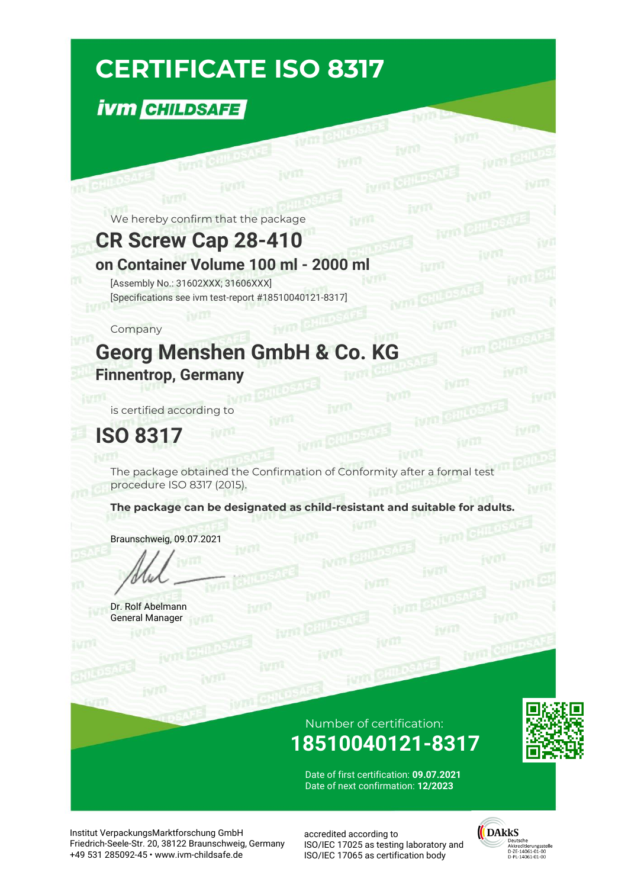# **CERTIFICATE ISO 8317**

## **İVM CHILDSAFE**

We hereby confirm that the package

**WITH CHILDS** 

#### **CR Screw Cap 28-410**

#### **on Container Volume 100 ml - 2000 ml**

[Assembly No.: 31602XXX; 31606XXX] [Specifications see ivm test-report #18510040121-8317]

#### Company

**TTL** CHILDS

## **Georg Menshen GmbH & Co. KG Finnentrop, Germany**

jym **C** 

is certified according to

## **ISO 8317**

The package obtained the Confirmation of Conformity after a formal test procedure ISO 8317 (2015).

fym CHILD

**The package can be designated as child-resistant and suitable for adults.**

Braunschweig, 09.07.2021

Dr. Rolf Abelmann General Manager

#### Number of certification: **18510040121-8317**

**IVTO** 



Date of first certification: **09.07.2021** Date of next confirmation: **12/2023**

Institut VerpackungsMarktforschung GmbH Friedrich-Seele-Str. 20, 38122 Braunschweig, Germany +49 531 285092-45 • www.ivm-childsafe.de

accredited according to ISO/IEC 17025 as testing laboratory and ISO/IEC 17065 as certification body



ivm CHI